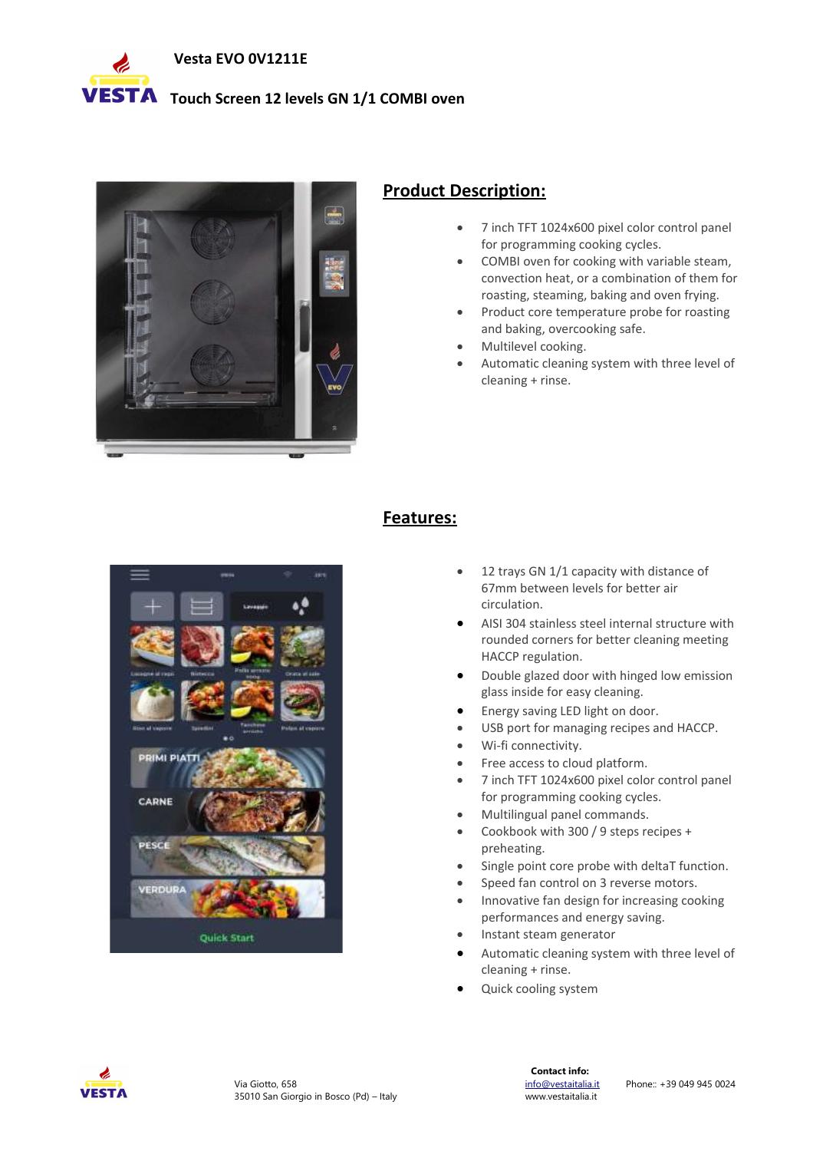

## **VESTA** Touch Screen 12 levels GN 1/1 COMBI oven



# **Product Description:**

- 7 inch TFT 1024x600 pixel color control panel for programming cooking cycles.
- COMBI oven for cooking with variable steam, convection heat, or a combination of them for roasting, steaming, baking and oven frying.
- Product core temperature probe for roasting and baking, overcooking safe.
- Multilevel cooking.
- Automatic cleaning system with three level of cleaning + rinse.



# **Features:**

- 12 trays GN 1/1 capacity with distance of 67mm between levels for better air circulation.
- AISI 304 stainless steel internal structure with rounded corners for better cleaning meeting HACCP regulation.
- Double glazed door with hinged low emission glass inside for easy cleaning.
- Energy saving LED light on door.
- USB port for managing recipes and HACCP.
- Wi-fi connectivity.
- Free access to cloud platform.
- 7 inch TFT 1024x600 pixel color control panel for programming cooking cycles.
- Multilingual panel commands.
- Cookbook with 300 / 9 steps recipes + preheating.
- Single point core probe with deltaT function.
- Speed fan control on 3 reverse motors.
- Innovative fan design for increasing cooking performances and energy saving.
- Instant steam generator
- Automatic cleaning system with three level of cleaning + rinse.
- Quick cooling system

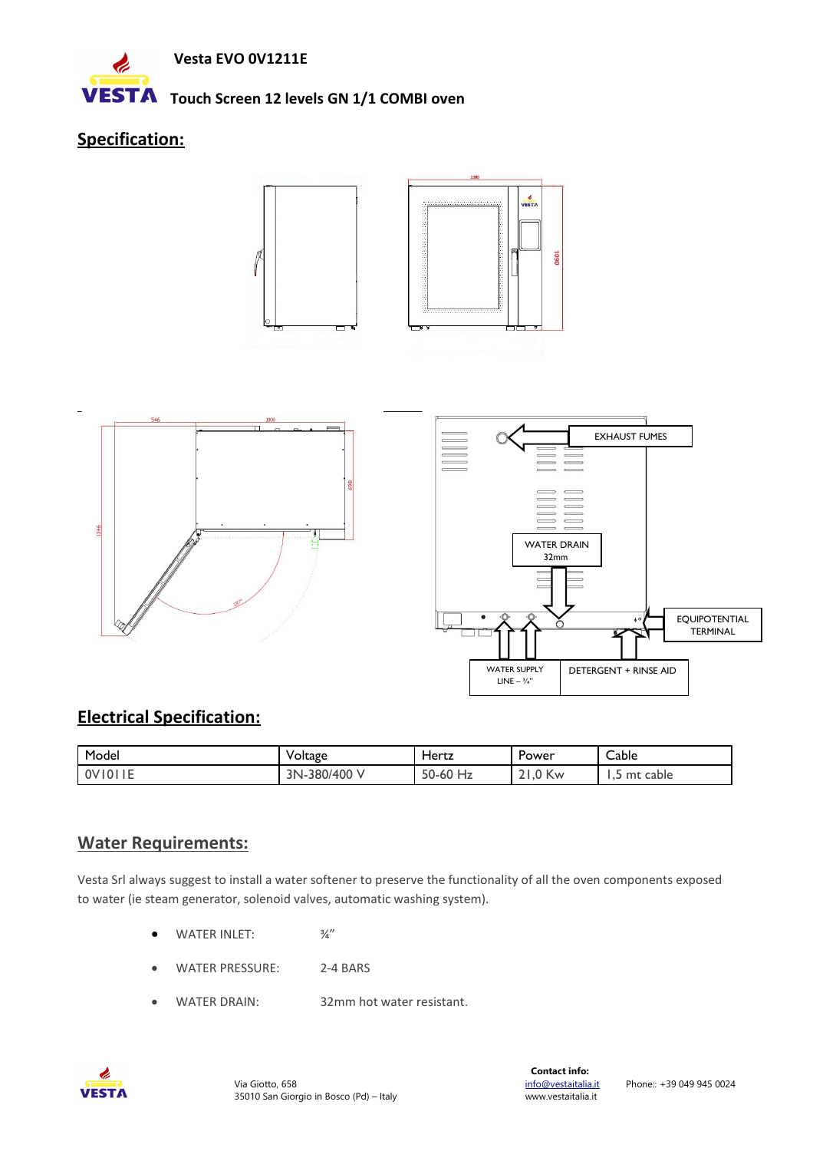

### **VESTA** Touch Screen 12 levels GN 1/1 COMBI oven

# **Specification:**





# **Electrical Specification:**

| Model                | Voltage            | Hertz                               | Power               | Cable<br>$\sim$    |
|----------------------|--------------------|-------------------------------------|---------------------|--------------------|
| .<br>0V101<br>' l∪ i | -380/400 V<br>3N-. | 50-60<br>- 11 - 1<br>H <sub>2</sub> | ባ Kw<br>$\sim$<br>∽ | cable<br>mt<br>ر . |

# **Water Requirements:**

Vesta Srl always suggest to install a water softener to preserve the functionality of all the oven components exposed to water (ie steam generator, solenoid valves, automatic washing system).

- $\bullet$  WATER INLET:  $\frac{3}{4}$ "
- WATER PRESSURE: 2-4 BARS
- WATER DRAIN: 32mm hot water resistant.